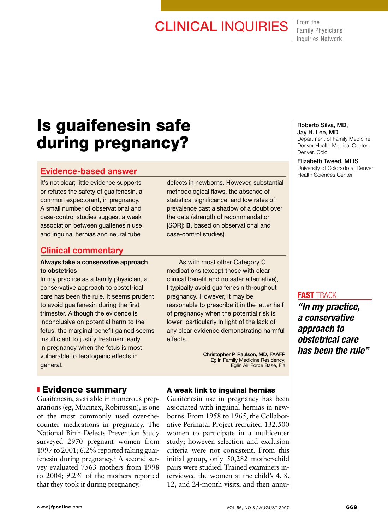# **CLINICAL INQUIRIES** From the

Family Physicians Inquiries Network

# Is guaifenesin safe during pregnancy?

# Evidence-based answer

It's not clear; little evidence supports or refutes the safety of guaifenesin, a common expectorant, in pregnancy. A small number of observational and case-control studies suggest a weak association between guaifenesin use and inguinal hernias and neural tube

# Clinical commentary

### Always take a conservative approach to obstetrics

In my practice as a family physician, a conservative approach to obstetrical care has been the rule. It seems prudent to avoid guaifenesin during the first trimester. Although the evidence is inconclusive on potential harm to the fetus, the marginal benefit gained seems insufficient to justify treatment early in pregnancy when the fetus is most vulnerable to teratogenic effects in general.

## **Evidence summary**

Guaifenesin, available in numerous preparations (eg, Mucinex, Robitussin), is one of the most commonly used over-thecounter medications in pregnancy. The National Birth Defects Prevention Study surveyed 2970 pregnant women from 1997 to 2001; 6.2% reported taking guaifenesin during pregnancy.<sup>1</sup> A second survey evaluated 7563 mothers from 1998 to 2004; 9.2% of the mothers reported that they took it during pregnancy.<sup>1</sup>

defects in newborns. However, substantial methodological flaws, the absence of statistical significance, and low rates of prevalence cast a shadow of a doubt over the data (strength of recommendation [SOR]: **B**, based on observational and case-control studies).

 As with most other Category C medications (except those with clear clinical benefit and no safer alternative), I typically avoid guaifenesin throughout pregnancy. However, it may be reasonable to prescribe it in the latter half of pregnancy when the potential risk is lower; particularly in light of the lack of any clear evidence demonstrating harmful effects.

> Christopher P. Paulson, MD, FAAFP Eglin Family Medicine Residency, Eglin Air Force Base, Fla

## A weak link to inguinal hernias

Guaifenesin use in pregnancy has been associated with inguinal hernias in newborns. From 1958 to 1965, the Collaborative Perinatal Project recruited 132,500 women to participate in a multicenter study; however, selection and exclusion criteria were not consistent. From this initial group, only 50,282 mother-child pairs were studied. Trained examiners interviewed the women at the child's 4, 8, 12, and 24-month visits, and then annu-

#### Roberto Silva, MD, Jay H. Lee, MD Department of Family Medicine, Denver Health Medical Center, Denver, Colo

Elizabeth Tweed, MLIS University of Colorado at Denver Health Sciences Center

## **FAST TRACK**

*"In my practice, a conservative approach to obstetrical care has been the rule"*